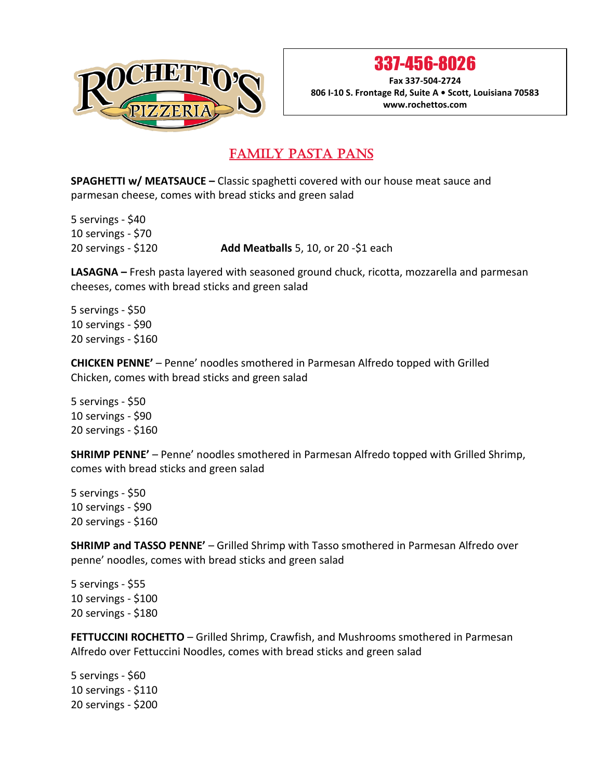

337-456-8026

**Fax 337-504-2724 806 I-10 S. Frontage Rd, Suite A • Scott, Louisiana 70583 www.rochettos.com**

#### FAMILY PASTA PANS Ξ

**SPAGHETTI w/ MEATSAUCE –** Classic spaghetti covered with our house meat sauce and parmesan cheese, comes with bread sticks and green salad

5 servings - \$40 10 servings - \$70

20 servings - \$120 **Add Meatballs** 5, 10, or 20 -\$1 each

**LASAGNA –** Fresh pasta layered with seasoned ground chuck, ricotta, mozzarella and parmesan cheeses, comes with bread sticks and green salad

5 servings - \$50 10 servings - \$90 20 servings - \$160

**CHICKEN PENNE'** – Penne' noodles smothered in Parmesan Alfredo topped with Grilled Chicken, comes with bread sticks and green salad

5 servings - \$50 10 servings - \$90 20 servings - \$160

**SHRIMP PENNE'** – Penne' noodles smothered in Parmesan Alfredo topped with Grilled Shrimp, comes with bread sticks and green salad

5 servings - \$50 10 servings - \$90 20 servings - \$160

**SHRIMP and TASSO PENNE'** – Grilled Shrimp with Tasso smothered in Parmesan Alfredo over penne' noodles, comes with bread sticks and green salad

5 servings - \$55 10 servings - \$100 20 servings - \$180

**FETTUCCINI ROCHETTO** – Grilled Shrimp, Crawfish, and Mushrooms smothered in Parmesan Alfredo over Fettuccini Noodles, comes with bread sticks and green salad

5 servings - \$60 10 servings - \$110 20 servings - \$200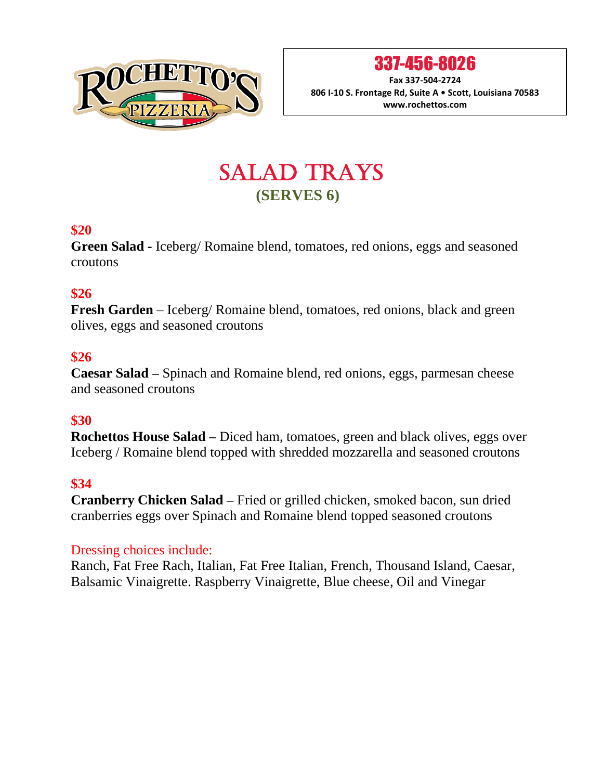

337-456-8026

**Fax 337-504-2724 806 I-10 S. Frontage Rd, Suite A • Scott, Louisiana 70583 www.rochettos.com**

# SALAD TRAYS  **(SERVES 6)**

### **\$20**

**Green Salad -** Iceberg/ Romaine blend, tomatoes, red onions, eggs and seasoned croutons

## **\$26**

**Fresh Garden** – Iceberg/ Romaine blend, tomatoes, red onions, black and green olives, eggs and seasoned croutons

# **\$26**

**Caesar Salad –** Spinach and Romaine blend, red onions, eggs, parmesan cheese and seasoned croutons

# **\$30**

**Rochettos House Salad –** Diced ham, tomatoes, green and black olives, eggs over Iceberg / Romaine blend topped with shredded mozzarella and seasoned croutons

# **\$34**

**Cranberry Chicken Salad –** Fried or grilled chicken, smoked bacon, sun dried cranberries eggs over Spinach and Romaine blend topped seasoned croutons

### Dressing choices include:

Ranch, Fat Free Rach, Italian, Fat Free Italian, French, Thousand Island, Caesar, Balsamic Vinaigrette. Raspberry Vinaigrette, Blue cheese, Oil and Vinegar